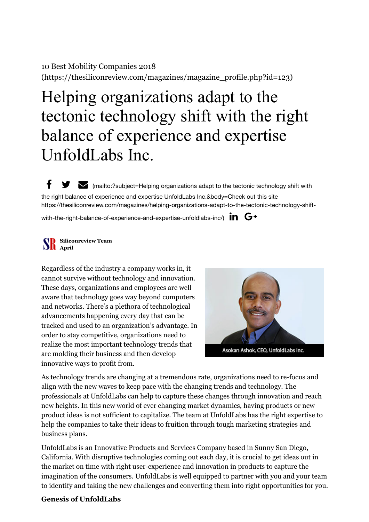## 10 Best Mobility Companies 2018 [\(https://thesiliconreview.com/magazines/magazine\\_profile.php?id=123\)](https://thesiliconreview.com/magazines/magazine_profile.php?id=123)

# Helping organizations adapt to the tectonic technology shift with the right balance of experience and expertise UnfoldLabs Inc.

 $f \cdot \blacktriangleright$  (mailto:?subject=Helping organizations adapt to the tectonic technology shift with the right balance of experience and expertise UnfoldLabs Inc.&body=Check out this site [https://thesiliconreview.com/magazines/helping-organizations-adapt-to-the-tectonic-technology-shift-](mailto:?subject=Helping%20organizations%20adapt%20to%20the%20tectonic%20technology%20shift%20with%20the%20right%20balance%20of%20experience%20and%20expertise%20UnfoldLabs%20Inc.&body=Check%20out%20this%20site%20https://thesiliconreview.com/magazines/helping-organizations-adapt-to-the-tectonic-technology-shift-with-the-right-balance-of-experience-and-expertise-unfoldlabs-inc/)

with-the-right-balance-of-experience-and-expertise-unfoldlabs-inc/)  $\mathop{\text{in}}$   $\mathsf{G+}$ 

#### **Siliconreview Team April**

Regardless of the industry a company works in, it cannot survive without technology and innovation. These days, organizations and employees are well aware that technology goes way beyond computers and networks. There's a plethora of technological advancements happening every day that can be tracked and used to an organization's advantage. In order to stay competitive, organizations need to realize the most important technology trends that are molding their business and then develop innovative ways to profit from.



As technology trends are changing at a tremendous rate, organizations need to re-focus and align with the new waves to keep pace with the changing trends and technology. The professionals at UnfoldLabs can help to capture these changes through innovation and reach new heights. In this new world of ever changing market dynamics, having products or new product ideas is not sufficient to capitalize. The team at UnfoldLabs has the right expertise to help the companies to take their ideas to fruition through tough marketing strategies and business plans.

UnfoldLabs is an Innovative Products and Services Company based in Sunny San Diego, California. With disruptive technologies coming out each day, it is crucial to get ideas out in the market on time with right user-experience and innovation in products to capture the imagination of the consumers. UnfoldLabs is well equipped to partner with you and your team to identify and taking the new challenges and converting them into right opportunities for you.

#### **Genesis of UnfoldLabs**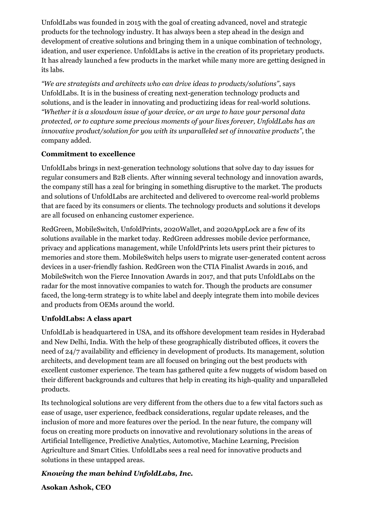UnfoldLabs was founded in 2015 with the goal of creating advanced, novel and strategic products for the technology industry. It has always been a step ahead in the design and development of creative solutions and bringing them in a unique combination of technology, ideation, and user experience. UnfoldLabs is active in the creation of its proprietary products. It has already launched a few products in the market while many more are getting designed in its labs.

*"We are strategists and architects who can drive ideas to products/solutions"*, says UnfoldLabs. It is in the business of creating next-generation technology products and solutions, and is the leader in innovating and productizing ideas for real-world solutions. *"Whether it is a slowdown issue of your device, or an urge to have your personal data protected, or to capture some precious moments of your lives forever, UnfoldLabs has an innovative product/solution for you with its unparalleled set of innovative products"*, the company added.

### **Commitment to excellence**

UnfoldLabs brings in next-generation technology solutions that solve day to day issues for regular consumers and B2B clients. After winning several technology and innovation awards, the company still has a zeal for bringing in something disruptive to the market. The products and solutions of UnfoldLabs are architected and delivered to overcome real-world problems that are faced by its consumers or clients. The technology products and solutions it develops are all focused on enhancing customer experience.

RedGreen, MobileSwitch, UnfoldPrints, 2020Wallet, and 2020AppLock are a few of its solutions available in the market today. RedGreen addresses mobile device performance, privacy and applications management, while UnfoldPrints lets users print their pictures to memories and store them. MobileSwitch helps users to migrate user-generated content across devices in a user-friendly fashion. RedGreen won the CTIA Finalist Awards in 2016, and MobileSwitch won the Fierce Innovation Awards in 2017, and that puts UnfoldLabs on the radar for the most innovative companies to watch for. Though the products are consumer faced, the long-term strategy is to white label and deeply integrate them into mobile devices and products from OEMs around the world.

### **UnfoldLabs: A class apart**

UnfoldLab is headquartered in USA, and its offshore development team resides in Hyderabad and New Delhi, India. With the help of these geographically distributed offices, it covers the need of 24/7 availability and efficiency in development of products. Its management, solution architects, and development team are all focused on bringing out the best products with excellent customer experience. The team has gathered quite a few nuggets of wisdom based on their different backgrounds and cultures that help in creating its high-quality and unparalleled products.

Its technological solutions are very different from the others due to a few vital factors such as ease of usage, user experience, feedback considerations, regular update releases, and the inclusion of more and more features over the period. In the near future, the company will focus on creating more products on innovative and revolutionary solutions in the areas of Artificial Intelligence, Predictive Analytics, Automotive, Machine Learning, Precision Agriculture and Smart Cities. UnfoldLabs sees a real need for innovative products and solutions in these untapped areas.

## *Knowing the man behind UnfoldLabs, Inc.*

**Asokan Ashok, CEO**